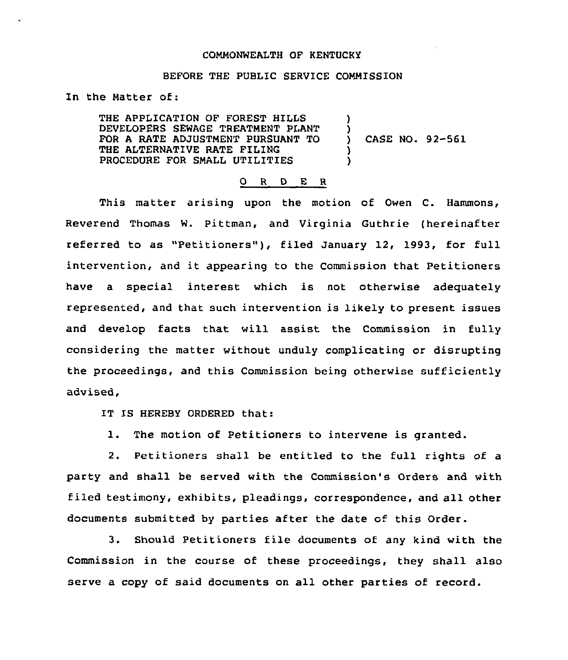## COMMONWEALTH OF KENTUCKY

## BEFORE THE PUBLIC SERVICE COMMISSION

In the Matter of:

THE APPLICATION OF FOREST HILLS DEVELOPERS SEWAGE TREATMENT PLANT FOR A RATE ADJUSTMENT PURSUANT TO THE ALTERNATIVE RATE FILING PROCEDURE FOR SMALL UTILITIES ) ) ) CASE NO. 92-561 ) )

## 0 <sup>R</sup> <sup>D</sup> E <sup>R</sup>

This matter arising upon the motion of Owen C. Hammons, Reverend Thomas W. Pittman, and Virginia Guthrie (hereinafter referred to as "Petitioners"), filed January 12, 1993, for full intervention, and it appearing to the Commission that Petitioners have a special interest which is not otherwise adequately represented, and that such intervention is likely to present issues and develop facts that will assist the Commission in fully considering the matter without unduly complicating or disrupting the proceedings, and this Commission being otherwise sufficiently advised,

IT IS HEREBY ORDERED that:

1. The motion of Petitioners to intervene is granted.

2. Petitioners shall be entitled to the full rights of a party and shall be served with the Commission's Orders and with filed testimony, exhibits, pleadings, correspondence, and all other documents submitted by parties after the date of this Order.

3. Should Petitioners file documents of any kind with the Commission in the course of these proceedings, they shall also serve a copy of said documents on all other parties of record.